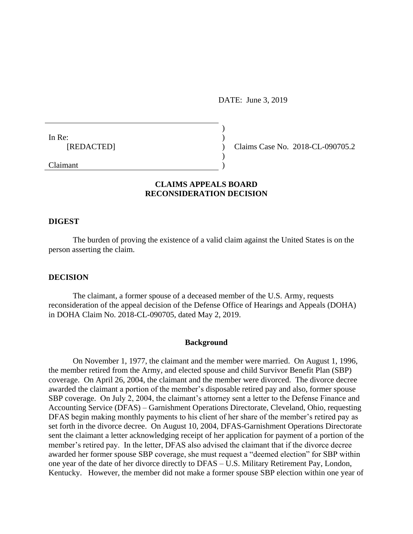DATE: June 3, 2019

In Re: [REDACTED]

Claims Case No. 2018-CL-090705.2

Claimant

# **CLAIMS APPEALS BOARD RECONSIDERATION DECISION**

) )  $\lambda$ ) )

#### **DIGEST**

The burden of proving the existence of a valid claim against the United States is on the person asserting the claim.

## **DECISION**

The claimant, a former spouse of a deceased member of the U.S. Army, requests reconsideration of the appeal decision of the Defense Office of Hearings and Appeals (DOHA) in DOHA Claim No. 2018-CL-090705, dated May 2, 2019.

## **Background**

On November 1, 1977, the claimant and the member were married. On August 1, 1996, the member retired from the Army, and elected spouse and child Survivor Benefit Plan (SBP) coverage. On April 26, 2004, the claimant and the member were divorced. The divorce decree awarded the claimant a portion of the member's disposable retired pay and also, former spouse SBP coverage. On July 2, 2004, the claimant's attorney sent a letter to the Defense Finance and Accounting Service (DFAS) – Garnishment Operations Directorate, Cleveland, Ohio, requesting DFAS begin making monthly payments to his client of her share of the member's retired pay as set forth in the divorce decree. On August 10, 2004, DFAS-Garnishment Operations Directorate sent the claimant a letter acknowledging receipt of her application for payment of a portion of the member's retired pay. In the letter, DFAS also advised the claimant that if the divorce decree awarded her former spouse SBP coverage, she must request a "deemed election" for SBP within one year of the date of her divorce directly to DFAS – U.S. Military Retirement Pay, London, Kentucky. However, the member did not make a former spouse SBP election within one year of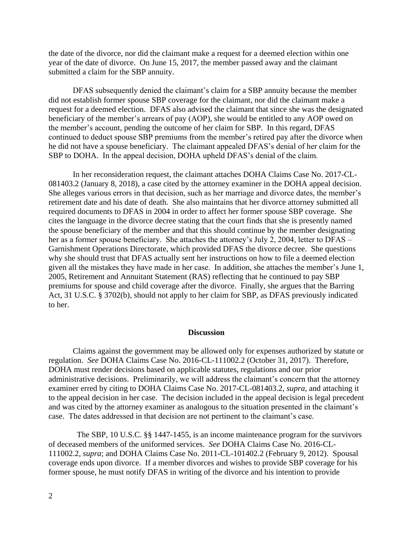the date of the divorce, nor did the claimant make a request for a deemed election within one year of the date of divorce. On June 15, 2017, the member passed away and the claimant submitted a claim for the SBP annuity.

DFAS subsequently denied the claimant's claim for a SBP annuity because the member did not establish former spouse SBP coverage for the claimant, nor did the claimant make a request for a deemed election. DFAS also advised the claimant that since she was the designated beneficiary of the member's arrears of pay (AOP), she would be entitled to any AOP owed on the member's account, pending the outcome of her claim for SBP. In this regard, DFAS continued to deduct spouse SBP premiums from the member's retired pay after the divorce when he did not have a spouse beneficiary. The claimant appealed DFAS's denial of her claim for the SBP to DOHA. In the appeal decision, DOHA upheld DFAS's denial of the claim.

In her reconsideration request, the claimant attaches DOHA Claims Case No. 2017-CL-081403.2 (January 8, 2018), a case cited by the attorney examiner in the DOHA appeal decision. She alleges various errors in that decision, such as her marriage and divorce dates, the member's retirement date and his date of death. She also maintains that her divorce attorney submitted all required documents to DFAS in 2004 in order to affect her former spouse SBP coverage. She cites the language in the divorce decree stating that the court finds that she is presently named the spouse beneficiary of the member and that this should continue by the member designating her as a former spouse beneficiary. She attaches the attorney's July 2, 2004, letter to DFAS – Garnishment Operations Directorate, which provided DFAS the divorce decree. She questions why she should trust that DFAS actually sent her instructions on how to file a deemed election given all the mistakes they have made in her case. In addition, she attaches the member's June 1, 2005, Retirement and Annuitant Statement (RAS) reflecting that he continued to pay SBP premiums for spouse and child coverage after the divorce. Finally, she argues that the Barring Act, 31 U.S.C. § 3702(b), should not apply to her claim for SBP, as DFAS previously indicated to her.

#### **Discussion**

Claims against the government may be allowed only for expenses authorized by statute or regulation. *See* DOHA Claims Case No. 2016-CL-111002.2 (October 31, 2017). Therefore, DOHA must render decisions based on applicable statutes, regulations and our prior administrative decisions. Preliminarily, we will address the claimant's concern that the attorney examiner erred by citing to DOHA Claims Case No. 2017-CL-081403.2, *supra*, and attaching it to the appeal decision in her case. The decision included in the appeal decision is legal precedent and was cited by the attorney examiner as analogous to the situation presented in the claimant's case. The dates addressed in that decision are not pertinent to the claimant's case.

 The SBP, 10 U.S.C. §§ 1447-1455, is an income maintenance program for the survivors of deceased members of the uniformed services. *See* DOHA Claims Case No. 2016-CL-111002.2, *supra*; and DOHA Claims Case No. 2011-CL-101402.2 (February 9, 2012). Spousal coverage ends upon divorce. If a member divorces and wishes to provide SBP coverage for his former spouse, he must notify DFAS in writing of the divorce and his intention to provide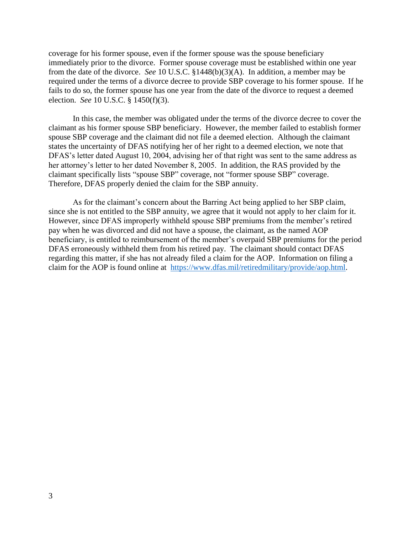coverage for his former spouse, even if the former spouse was the spouse beneficiary immediately prior to the divorce. Former spouse coverage must be established within one year from the date of the divorce. *See* 10 U.S.C. §1448(b)(3)(A). In addition, a member may be required under the terms of a divorce decree to provide SBP coverage to his former spouse. If he fails to do so, the former spouse has one year from the date of the divorce to request a deemed election. *See* 10 U.S.C. § 1450(f)(3).

In this case, the member was obligated under the terms of the divorce decree to cover the claimant as his former spouse SBP beneficiary. However, the member failed to establish former spouse SBP coverage and the claimant did not file a deemed election. Although the claimant states the uncertainty of DFAS notifying her of her right to a deemed election, we note that DFAS's letter dated August 10, 2004, advising her of that right was sent to the same address as her attorney's letter to her dated November 8, 2005. In addition, the RAS provided by the claimant specifically lists "spouse SBP" coverage, not "former spouse SBP" coverage. Therefore, DFAS properly denied the claim for the SBP annuity.

As for the claimant's concern about the Barring Act being applied to her SBP claim, since she is not entitled to the SBP annuity, we agree that it would not apply to her claim for it. However, since DFAS improperly withheld spouse SBP premiums from the member's retired pay when he was divorced and did not have a spouse, the claimant, as the named AOP beneficiary, is entitled to reimbursement of the member's overpaid SBP premiums for the period DFAS erroneously withheld them from his retired pay. The claimant should contact DFAS regarding this matter, if she has not already filed a claim for the AOP. Information on filing a claim for the AOP is found online at [https://www.dfas.mil/retiredmilitary/provide/aop.html.](https://www.dfas.mil/retiredmilitary/provide/aop.html)